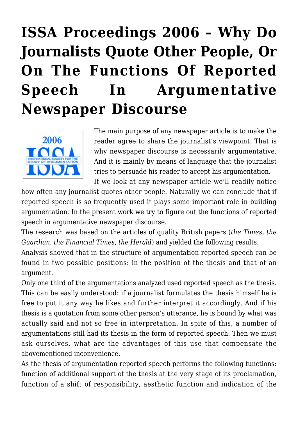## **[ISSA Proceedings 2006 – Why Do](https://rozenbergquarterly.com/issa-proceedings-2006-why-do-journalists-quote-other-people-or-on-the-functions-of-reported-speech-in-argumentative-newspaper-discourse/) [Journalists Quote Other People, Or](https://rozenbergquarterly.com/issa-proceedings-2006-why-do-journalists-quote-other-people-or-on-the-functions-of-reported-speech-in-argumentative-newspaper-discourse/) [On The Functions Of Reported](https://rozenbergquarterly.com/issa-proceedings-2006-why-do-journalists-quote-other-people-or-on-the-functions-of-reported-speech-in-argumentative-newspaper-discourse/) [Speech In Argumentative](https://rozenbergquarterly.com/issa-proceedings-2006-why-do-journalists-quote-other-people-or-on-the-functions-of-reported-speech-in-argumentative-newspaper-discourse/) [Newspaper Discourse](https://rozenbergquarterly.com/issa-proceedings-2006-why-do-journalists-quote-other-people-or-on-the-functions-of-reported-speech-in-argumentative-newspaper-discourse/)**



The main purpose of any newspaper article is to make the reader agree to share the journalist's viewpoint. That is why newspaper discourse is necessarily argumentative. And it is mainly by means of language that the journalist tries to persuade his reader to accept his argumentation.

If we look at any newspaper article we'll readily notice how often any journalist quotes other people. Naturally we can conclude that if reported speech is so frequently used it plays some important role in building argumentation. In the present work we try to figure out the functions of reported speech in argumentative newspaper discourse.

The research was based on the articles of quality British papers (*the Times, the Guardian, the Financial Times, the Herald*) and yielded the following results.

Analysis showed that in the structure of argumentation reported speech can be found in two possible positions: in the position of the thesis and that of an argument.

Only one third of the argumentations analyzed used reported speech as the thesis. This can be easily understood: if a journalist formulates the thesis himself he is free to put it any way he likes and further interpret it accordingly. And if his thesis is a quotation from some other person's utterance, he is bound by what was actually said and not so free in interpretation. In spite of this, a number of argumentations still had its thesis in the form of reported speech. Then we must ask ourselves, what are the advantages of this use that compensate the abovementioned inconvenience.

As the thesis of argumentation reported speech performs the following functions: function of additional support of the thesis at the very stage of its proclamation, function of a shift of responsibility, aesthetic function and indication of the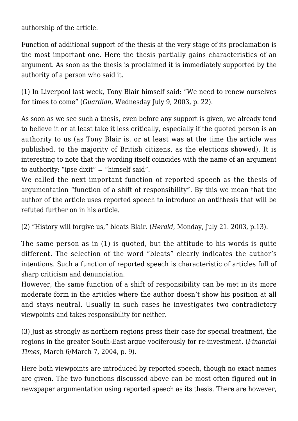authorship of the article.

Function of additional support of the thesis at the very stage of its proclamation is the most important one. Here the thesis partially gains characteristics of an argument. As soon as the thesis is proclaimed it is immediately supported by the authority of a person who said it.

(1) In Liverpool last week, Tony Blair himself said: "We need to renew ourselves for times to come" (*Guardian*, Wednesday July 9, 2003, p. 22).

As soon as we see such a thesis, even before any support is given, we already tend to believe it or at least take it less critically, especially if the quoted person is an authority to us (as Tony Blair is, or at least was at the time the article was published, to the majority of British citizens, as the elections showed). It is interesting to note that the wording itself coincides with the name of an argument to authority: "ipse dixit" = "himself said".

We called the next important function of reported speech as the thesis of argumentation "function of a shift of responsibility". By this we mean that the author of the article uses reported speech to introduce an antithesis that will be refuted further on in his article.

(2) "History will forgive us," bleats Blair. (*Herald*, Monday, July 21. 2003, p.13).

The same person as in (1) is quoted, but the attitude to his words is quite different. The selection of the word "bleats" clearly indicates the author's intentions. Such a function of reported speech is characteristic of articles full of sharp criticism and denunciation.

However, the same function of a shift of responsibility can be met in its more moderate form in the articles where the author doesn't show his position at all and stays neutral. Usually in such cases he investigates two contradictory viewpoints and takes responsibility for neither.

(3) Just as strongly as northern regions press their case for special treatment, the regions in the greater South-East argue vociferously for re-investment. (*Financial Times*, March 6/March 7, 2004, p. 9).

Here both viewpoints are introduced by reported speech, though no exact names are given. The two functions discussed above can be most often figured out in newspaper argumentation using reported speech as its thesis. There are however,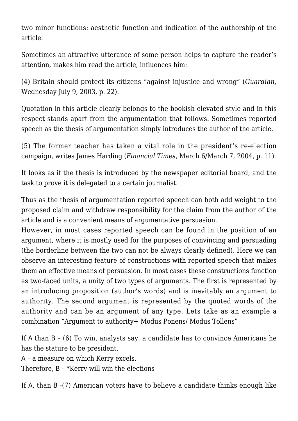two minor functions: aesthetic function and indication of the authorship of the article.

Sometimes an attractive utterance of some person helps to capture the reader's attention, makes him read the article, influences him:

(4) Britain should protect its citizens "against injustice and wrong" (*Guardian*, Wednesday July 9, 2003, p. 22).

Quotation in this article clearly belongs to the bookish elevated style and in this respect stands apart from the argumentation that follows. Sometimes reported speech as the thesis of argumentation simply introduces the author of the article.

(5) The former teacher has taken a vital role in the president's re-election campaign, writes James Harding (*Financial Times*, March 6/March 7, 2004, p. 11).

It looks as if the thesis is introduced by the newspaper editorial board, and the task to prove it is delegated to a certain journalist.

Thus as the thesis of argumentation reported speech can both add weight to the proposed claim and withdraw responsibility for the claim from the author of the article and is a convenient means of argumentative persuasion.

However, in most cases reported speech can be found in the position of an argument, where it is mostly used for the purposes of convincing and persuading (the borderline between the two can not be always clearly defined). Here we can observe an interesting feature of constructions with reported speech that makes them an effective means of persuasion. In most cases these constructions function as two-faced units, a unity of two types of arguments. The first is represented by an introducing proposition (author's words) and is inevitably an argument to authority. The second argument is represented by the quoted words of the authority and can be an argument of any type. Lets take as an example a combination "Argument to authority+ Modus Ponens/ Modus Tollens"

If А than В – (6) To win, analysts say, a candidate has to convince Americans he has the stature to be president,

А – a measure on which Kerry excels.

Therefore, В – \*Kerry will win the elections

If А, than В -(7) American voters have to believe a candidate thinks enough like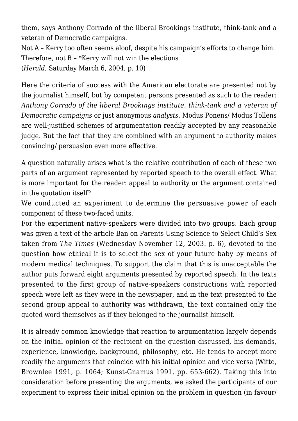them, says Anthony Corrado of the liberal Brookings institute, think-tank and a veteran of Democratic campaigns.

Not A – Kerry too often seems aloof, despite his campaign's efforts to change him. Therefore, not B – \*Kerry will not win the elections (*Herald*, Saturday March 6, 2004, p. 10)

Here the criteria of success with the American electorate are presented not by the journalist himself, but by competent persons presented as such to the reader: *Anthony Corrado of the liberal Brookings institute, think-tank and a veteran of Democratic campaigns* or just anonymous *analysts.* Modus Ponens/ Modus Tollens are well-justified schemes of argumentation readily accepted by any reasonable judge. But the fact that they are combined with an argument to authority makes convincing/ persuasion even more effective.

A question naturally arises what is the relative contribution of each of these two parts of an argument represented by reported speech to the overall effect. What is more important for the reader: appeal to authority or the argument contained in the quotation itself?

We conducted an experiment to determine the persuasive power of each component of these two-faced units.

For the experiment native-speakers were divided into two groups. Each group was given a text of the article Ban on Parents Using Science to Select Child's Sex taken from *The Times* (Wednesday November 12, 2003. p. 6), devoted to the question how ethical it is to select the sex of your future baby by means of modern medical techniques. To support the claim that this is unacceptable the author puts forward eight arguments presented by reported speech. In the texts presented to the first group of native-speakers constructions with reported speech were left as they were in the newspaper, and in the text presented to the second group appeal to authority was withdrawn, the text contained only the quoted word themselves as if they belonged to the journalist himself.

It is already common knowledge that reaction to argumentation largely depends on the initial opinion of the recipient on the question discussed, his demands, experience, knowledge, background, philosophy, etc. He tends to accept more readily the arguments that coincide with his initial opinion and vice versa (Witte, Brownlee 1991, p. 1064; Kunst-Gnamus 1991, pp. 653-662). Taking this into consideration before presenting the arguments, we asked the participants of our experiment to express their initial opinion on the problem in question (in favour/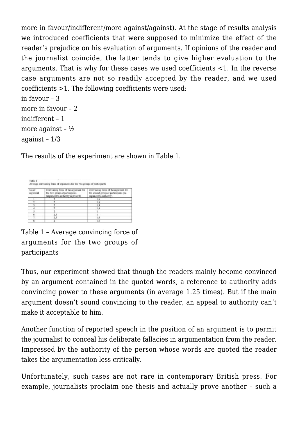more in favour/indifferent/more against/against). At the stage of results analysis we introduced coefficients that were supposed to minimize the effect of the reader's prejudice on his evaluation of arguments. If opinions of the reader and the journalist coincide, the latter tends to give higher evaluation to the arguments. That is why for these cases we used coefficients <1. In the reverse case arguments are not so readily accepted by the reader, and we used coefficients >1. The following coefficients were used: in favour – 3

```
more in favour - 2
indifferent – 1
more against - \frac{1}{2}against – 1/3
```
The results of the experiment are shown in Table 1.

| No of<br>argament | Convincing force of the argument for<br>the first group of participants<br>(argument to authority is present) | Convincing force of the argument for<br>the second group of participants (no<br>argument to authority) |
|-------------------|---------------------------------------------------------------------------------------------------------------|--------------------------------------------------------------------------------------------------------|
|                   |                                                                                                               |                                                                                                        |
|                   |                                                                                                               | 1.6                                                                                                    |
|                   |                                                                                                               | 1.3                                                                                                    |
|                   |                                                                                                               | 1.6                                                                                                    |
|                   |                                                                                                               |                                                                                                        |
| ő.                | 2.5                                                                                                           |                                                                                                        |
| 7.                | 2.5                                                                                                           | 1.6                                                                                                    |
| 8.                |                                                                                                               |                                                                                                        |

Table 1 – Average convincing force of arguments for the two groups of participants

Thus, our experiment showed that though the readers mainly become convinced by an argument contained in the quoted words, a reference to authority adds convincing power to these arguments (in average 1.25 times). But if the main argument doesn't sound convincing to the reader, an appeal to authority can't make it acceptable to him.

Another function of reported speech in the position of an argument is to permit the journalist to conceal his deliberate fallacies in argumentation from the reader. Impressed by the authority of the person whose words are quoted the reader takes the argumentation less critically.

Unfortunately, such cases are not rare in contemporary British press. For example, journalists proclaim one thesis and actually prove another – such a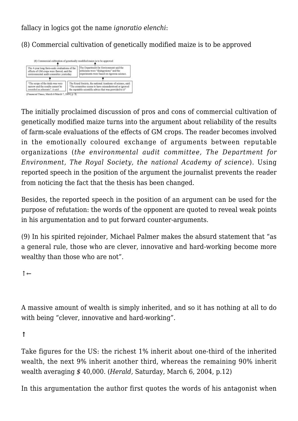fallacy in logics got the name *ignoratio elenchi*:

(8) Commercial cultivation of genetically modified maize is to be approved



The initially proclaimed discussion of pros and cons of commercial cultivation of genetically modified maize turns into the argument about reliability of the results of farm-scale evaluations of the effects of GM crops. The reader becomes involved in the emotionally coloured exchange of arguments between reputable organizations (*the environmental audit committee, The Department for Environment, The Royal Society, the national Academy of science*). Using reported speech in the position of the argument the journalist prevents the reader from noticing the fact that the thesis has been changed.

Besides, the reported speech in the position of an argument can be used for the purpose of refutation: the words of the opponent are quoted to reveal weak points in his argumentation and to put forward counter-arguments.

(9) In his spirited rejoinder, Michael Palmer makes the absurd statement that "as a general rule, those who are clever, innovative and hard-working become more wealthy than those who are not".

↑←

A massive amount of wealth is simply inherited, and so it has nothing at all to do with being "clever, innovative and hard-working".

**↑**

Take figures for the US: the richest 1% inherit about one-third of the inherited wealth, the next 9% inherit another third, whereas the remaining 90% inherit wealth averaging *\$* 40,000. (*Herald,* Saturday, March 6, 2004, p.12)

In this argumentation the author first quotes the words of his antagonist when